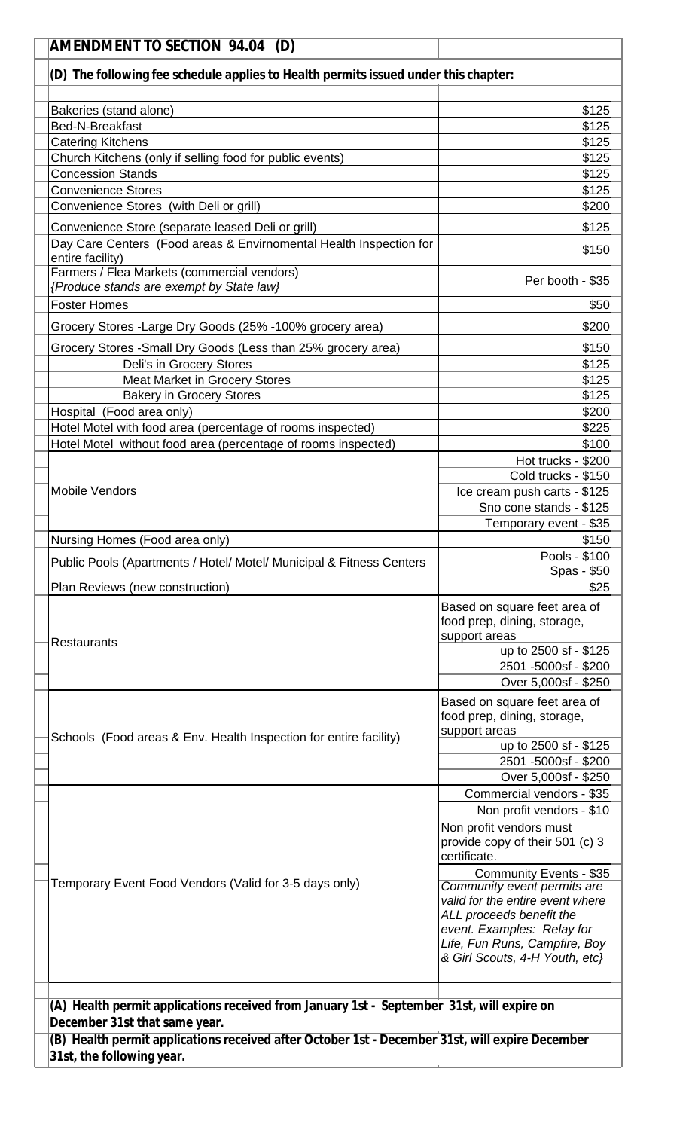| <b>AMENDMENT TO SECTION 94.04 (D)</b> |                                                                                                                                  |                                                                                               |  |
|---------------------------------------|----------------------------------------------------------------------------------------------------------------------------------|-----------------------------------------------------------------------------------------------|--|
|                                       | (D) The following fee schedule applies to Health permits issued under this chapter:                                              |                                                                                               |  |
|                                       |                                                                                                                                  |                                                                                               |  |
|                                       | Bakeries (stand alone)                                                                                                           | \$125                                                                                         |  |
|                                       | Bed-N-Breakfast                                                                                                                  | \$125                                                                                         |  |
|                                       | <b>Catering Kitchens</b>                                                                                                         | \$125                                                                                         |  |
|                                       | Church Kitchens (only if selling food for public events)                                                                         | \$125                                                                                         |  |
|                                       | <b>Concession Stands</b>                                                                                                         | \$125                                                                                         |  |
|                                       | <b>Convenience Stores</b>                                                                                                        | \$125                                                                                         |  |
|                                       | Convenience Stores (with Deli or grill)                                                                                          | \$200                                                                                         |  |
|                                       | Convenience Store (separate leased Deli or grill)                                                                                | \$125                                                                                         |  |
|                                       | Day Care Centers (Food areas & Envirnomental Health Inspection for<br>entire facility)                                           | \$150                                                                                         |  |
|                                       | Farmers / Flea Markets (commercial vendors)<br>{Produce stands are exempt by State law}                                          | Per booth - \$35                                                                              |  |
|                                       | <b>Foster Homes</b>                                                                                                              | \$50                                                                                          |  |
|                                       | Grocery Stores -Large Dry Goods (25% -100% grocery area)                                                                         | \$200                                                                                         |  |
|                                       | Grocery Stores - Small Dry Goods (Less than 25% grocery area)                                                                    | \$150                                                                                         |  |
|                                       | Deli's in Grocery Stores                                                                                                         | \$125                                                                                         |  |
|                                       | Meat Market in Grocery Stores<br><b>Bakery in Grocery Stores</b>                                                                 | \$125<br>\$125                                                                                |  |
|                                       | Hospital (Food area only)                                                                                                        | \$200                                                                                         |  |
|                                       | Hotel Motel with food area (percentage of rooms inspected)                                                                       | \$225                                                                                         |  |
|                                       | Hotel Motel without food area (percentage of rooms inspected)                                                                    | \$100                                                                                         |  |
|                                       |                                                                                                                                  | Hot trucks - \$200                                                                            |  |
|                                       |                                                                                                                                  | Cold trucks - \$150                                                                           |  |
|                                       | <b>Mobile Vendors</b>                                                                                                            | Ice cream push carts - \$125                                                                  |  |
|                                       |                                                                                                                                  | Sno cone stands - \$125                                                                       |  |
|                                       |                                                                                                                                  | Temporary event - \$35                                                                        |  |
|                                       | Nursing Homes (Food area only)                                                                                                   | \$150                                                                                         |  |
|                                       | Public Pools (Apartments / Hotel/ Motel/ Municipal & Fitness Centers                                                             | Pools - \$100<br>Spas - \$50                                                                  |  |
|                                       | Plan Reviews (new construction)                                                                                                  | \$25                                                                                          |  |
|                                       |                                                                                                                                  | Based on square feet area of<br>food prep, dining, storage,<br>support areas                  |  |
|                                       | <b>Restaurants</b>                                                                                                               | up to 2500 sf - \$125                                                                         |  |
|                                       |                                                                                                                                  | 2501 -5000sf - \$200                                                                          |  |
|                                       |                                                                                                                                  | Over 5,000sf - \$250                                                                          |  |
|                                       |                                                                                                                                  | Based on square feet area of<br>food prep, dining, storage,                                   |  |
|                                       | Schools (Food areas & Env. Health Inspection for entire facility)                                                                | support areas                                                                                 |  |
|                                       |                                                                                                                                  | up to 2500 sf - \$125<br>2501 -5000sf - \$200                                                 |  |
|                                       |                                                                                                                                  | Over 5,000sf - \$250                                                                          |  |
|                                       |                                                                                                                                  | Commercial vendors - \$35                                                                     |  |
|                                       |                                                                                                                                  | Non profit vendors - \$10                                                                     |  |
|                                       |                                                                                                                                  | Non profit vendors must<br>provide copy of their 501 (c) 3<br>certificate.                    |  |
|                                       |                                                                                                                                  | Community Events - \$35                                                                       |  |
|                                       | Temporary Event Food Vendors (Valid for 3-5 days only)                                                                           | Community event permits are<br>valid for the entire event where<br>ALL proceeds benefit the   |  |
|                                       |                                                                                                                                  | event. Examples: Relay for<br>Life, Fun Runs, Campfire, Boy<br>& Girl Scouts, 4-H Youth, etc} |  |
|                                       |                                                                                                                                  |                                                                                               |  |
|                                       | (A) Health permit applications received from January 1st - September 31st, will expire on                                        |                                                                                               |  |
|                                       | December 31st that same year.<br>(B) Health permit applications received after October 1st - December 31st, will expire December |                                                                                               |  |
|                                       | 31st, the following year.                                                                                                        |                                                                                               |  |